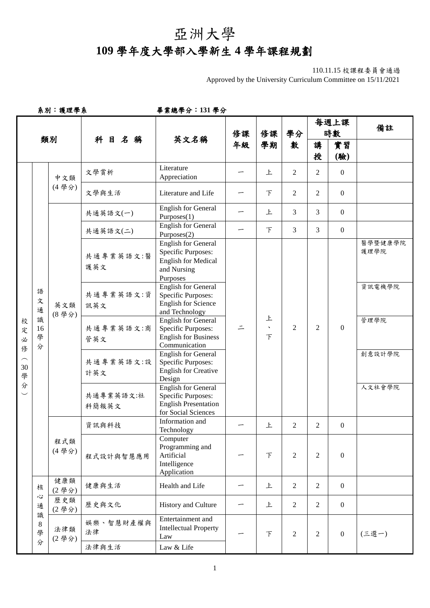## 亞洲大學 **109** 學年度大學部入學新生 **4** 學年課程規劃

## 110.11.15 校課程委員會通過

Approved by the University Curriculum Committee on 15/11/2021

系別:護理學系畢業總學分:**131** 學分

|                                  |                                  |              |                    |                                                                                                                                         |          |                               |                | 每週上課           |                  | 備註                                                                       |  |   |                |                |
|----------------------------------|----------------------------------|--------------|--------------------|-----------------------------------------------------------------------------------------------------------------------------------------|----------|-------------------------------|----------------|----------------|------------------|--------------------------------------------------------------------------|--|---|----------------|----------------|
|                                  |                                  | 類別           | 科目名稱               | 英文名稱                                                                                                                                    | 修課<br>年級 | 修課                            | 學分<br>數        | 時數             |                  |                                                                          |  |   |                |                |
|                                  |                                  |              |                    |                                                                                                                                         |          | 學期                            |                | 講              | 實習               |                                                                          |  |   |                |                |
|                                  |                                  |              |                    |                                                                                                                                         |          |                               |                | 授              | (驗)              |                                                                          |  |   |                |                |
|                                  |                                  | 中文類<br>(4學分) | 文學賞析               | Literature<br>Appreciation                                                                                                              |          | 上                             | 2              | 2              | $\overline{0}$   |                                                                          |  |   |                |                |
|                                  |                                  |              | 文學與生活              | Literature and Life                                                                                                                     |          | $\top$                        | $\overline{2}$ | 2              | $\overline{0}$   |                                                                          |  |   |                |                |
|                                  |                                  |              | 共通英語文(一)           | <b>English for General</b><br>Purposes(1)                                                                                               |          | 上                             | $\overline{3}$ | 3              | $\overline{0}$   |                                                                          |  |   |                |                |
|                                  |                                  |              | 共通英語文(二)           | <b>English for General</b><br>Purposes(2)                                                                                               |          | $\top$                        | $\mathfrak{Z}$ | 3              | $\overline{0}$   |                                                                          |  |   |                |                |
| 校<br>定<br>必<br>俢<br>30<br>學<br>分 | 語<br>文<br>通<br>識<br>16<br>學<br>分 | 英文類<br>(8學分) | 共通專業英語文:醫<br>護英文   | <b>English for General</b><br>Specific Purposes:<br><b>English for Medical</b><br>and Nursing<br>Purposes<br><b>English for General</b> |          |                               |                | 2              | $\boldsymbol{0}$ | 醫學暨健康學院<br>護理學院<br>資訊電機學院                                                |  |   |                |                |
|                                  |                                  |              | 共通專業英語文:資<br>訊英文   | <b>Specific Purposes:</b><br><b>English for Science</b><br>and Technology                                                               |          |                               |                |                |                  |                                                                          |  |   |                |                |
|                                  |                                  |              | 共通專業英語文:商<br>管英文   | <b>English for General</b><br>Specific Purposes:<br><b>English for Business</b><br>Communication                                        |          | 上<br>$\hat{\phantom{a}}$<br>F | $\overline{2}$ |                |                  | 管理學院                                                                     |  |   |                |                |
|                                  |                                  |              | 共通專業英語文:設<br>計英文   | <b>English for General</b><br><b>Specific Purposes:</b><br><b>English for Creative</b><br>Design                                        |          |                               |                |                |                  | 創意設計學院                                                                   |  |   |                |                |
|                                  |                                  |              | 共通專業英語文:社<br>科簡報英文 | <b>English for General</b><br><b>Specific Purposes:</b><br><b>English Presentation</b><br>for Social Sciences                           |          |                               |                |                |                  | 人文社會學院                                                                   |  |   |                |                |
|                                  |                                  | 程式類<br>(4學分) | 資訊與科技              | Information and<br>Technology                                                                                                           |          | 上                             | 2              | 2              | $\overline{0}$   |                                                                          |  |   |                |                |
|                                  |                                  |              |                    |                                                                                                                                         |          |                               |                |                | 程式設計與智慧應用        | Computer<br>Programming and<br>Artificial<br>Intelligence<br>Application |  | F | $\overline{2}$ | $\overline{2}$ |
|                                  | 核                                | 健康類<br>(2學分) | 健康與生活              | Health and Life                                                                                                                         |          | 上                             | $\overline{2}$ | $\overline{2}$ | $\overline{0}$   |                                                                          |  |   |                |                |
|                                  | ふ<br>通                           | 歷史類<br>(2學分) | 歷史與文化              | History and Culture                                                                                                                     |          | 上                             | $\overline{2}$ | $\overline{2}$ | $\overline{0}$   |                                                                          |  |   |                |                |
|                                  | 識<br>8<br>學                      | 法律類<br>(2學分) | 娱樂、智慧財產權與<br>法律    | Entertainment and<br><b>Intellectual Property</b><br>Law                                                                                |          | F                             | $\overline{2}$ | $\overline{2}$ | $\boldsymbol{0}$ | (三選一)                                                                    |  |   |                |                |
|                                  | 分                                |              | 法律與生活              | Law & Life                                                                                                                              |          |                               |                |                |                  |                                                                          |  |   |                |                |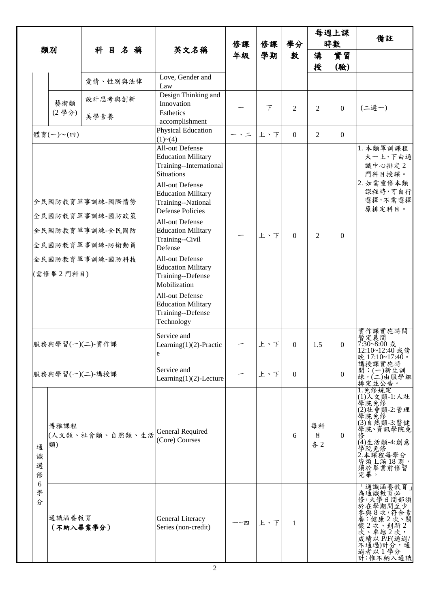|                                 |                     |                                                                                             |                                                                                                                                                                                                                                                                                                                                                                                                                                                            |          |          |                  |                | 每週上課             | 備註                                                                                                                                                  |
|---------------------------------|---------------------|---------------------------------------------------------------------------------------------|------------------------------------------------------------------------------------------------------------------------------------------------------------------------------------------------------------------------------------------------------------------------------------------------------------------------------------------------------------------------------------------------------------------------------------------------------------|----------|----------|------------------|----------------|------------------|-----------------------------------------------------------------------------------------------------------------------------------------------------|
|                                 | 類別                  | 科目名稱                                                                                        | 英文名稱                                                                                                                                                                                                                                                                                                                                                                                                                                                       | 修課<br>年級 | 修課<br>學期 | 學分<br>數          | 時數             |                  |                                                                                                                                                     |
|                                 |                     |                                                                                             |                                                                                                                                                                                                                                                                                                                                                                                                                                                            |          |          |                  | 講<br>授         | 實習<br>(驗)        |                                                                                                                                                     |
|                                 |                     | 愛情、性別與法律                                                                                    | Love, Gender and<br>Law                                                                                                                                                                                                                                                                                                                                                                                                                                    |          |          |                  |                |                  |                                                                                                                                                     |
|                                 | 藝術類                 | 設計思考與創新                                                                                     | Design Thinking and<br>Innovation                                                                                                                                                                                                                                                                                                                                                                                                                          |          | $\top$   | $\overline{2}$   | 2              | $\boldsymbol{0}$ | (二選一)                                                                                                                                               |
|                                 | (2學分)               | 美學素養                                                                                        | Esthetics<br>accomplishment                                                                                                                                                                                                                                                                                                                                                                                                                                |          |          |                  |                |                  |                                                                                                                                                     |
|                                 | 體育(一)~(四)           |                                                                                             | <b>Physical Education</b><br>(1)~(4)                                                                                                                                                                                                                                                                                                                                                                                                                       | ー、ニ      | 上、下      | $\overline{0}$   | $\overline{2}$ | $\overline{0}$   |                                                                                                                                                     |
|                                 | (需修畢2門科目)           | 全民國防教育軍事訓練-國際情勢<br>全民國防教育軍事訓練-國防政策<br>全民國防教育軍事訓練-全民國防<br>全民國防教育軍事訓練-防衛動員<br>全民國防教育軍事訓練-國防科技 | All-out Defense<br><b>Education Military</b><br>Training--International<br><b>Situations</b><br><b>All-out Defense</b><br><b>Education Military</b><br>Training--National<br><b>Defense Policies</b><br>All-out Defense<br><b>Education Military</b><br>Training--Civil<br>Defense<br>All-out Defense<br><b>Education Military</b><br>Training--Defense<br>Mobilization<br>All-out Defense<br><b>Education Military</b><br>Training--Defense<br>Technology |          | 上、下      | $\theta$         | 2              | $\mathbf{0}$     | 1. 本類軍訓課程<br>大一上、下由通<br>識中心排定2<br>門科目授課。<br>2. 如需重修本類<br>課程時,可自行<br>選擇,不需選擇<br>原排定科目。                                                               |
|                                 |                     | 服務與學習(一)(二)-實作課                                                                             | Service and<br>Learning $(1)(2)$ -Practic<br>e                                                                                                                                                                                                                                                                                                                                                                                                             |          | 上、下      | $\boldsymbol{0}$ | 1.5            | $\boldsymbol{0}$ | 實作課實施時間<br>暫定晨間<br>7:30~8:00 或<br>12:10~12:40 或傍<br>晚 17:10~17:40。                                                                                  |
|                                 | 服務與學習(一)(二)-講授課     |                                                                                             | Service and<br>Learning $(1)(2)$ -Lecture                                                                                                                                                                                                                                                                                                                                                                                                                  |          | 上、下      | $\Omega$         |                | $\theta$         | 講授課實施時<br>間:(一)新生訓<br>練,(二)由服學組<br>排定並公告。                                                                                                           |
| 通<br>識<br>選<br>俢<br>6<br>學<br>分 | 博雅課程<br>類)          | (人文類、社會類、自然類、生活                                                                             | <b>General Required</b><br>(Core) Courses                                                                                                                                                                                                                                                                                                                                                                                                                  |          |          | 6                | 每科<br>目<br>各2  | $\theta$         | 1.免修規定<br>(1)人文類-1:人社<br>學院免修<br>(2)社會類-2:管理<br> 學院最後<br> 得免然類-3:醫健 <br> 得院、資訊學院免 <br>(4)生活類-4:創意<br>學院免修<br>2.本課程每學分<br>皆須上滿18週,<br>須於畢業前修習<br>完畢。 |
|                                 | 通識涵養教育<br>(不納入畢業學分) |                                                                                             | <b>General Literacy</b><br>Series (non-credit)                                                                                                                                                                                                                                                                                                                                                                                                             | 一~四      | 上、下      | $\mathbf{1}$     |                |                  | 通識涵養教育<br>為通識教育必<br>修,大學日間部須<br>於在學期間至少<br>次、卓越2次,<br>成績以P/F(通過/<br>不通過)計分,通<br>過者以1學分<br>計;惟不納入通識                                                  |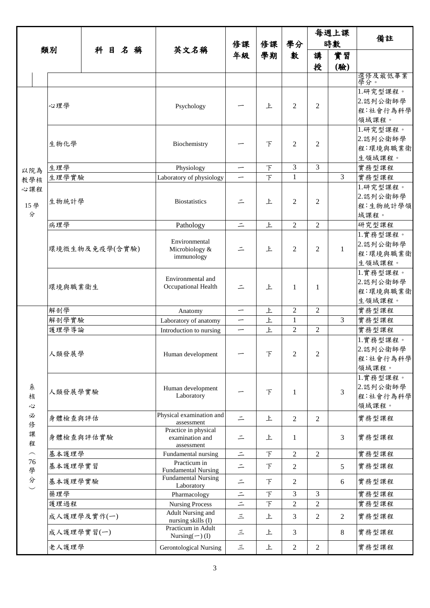|                |            |                | 英文名稱                                           | 修課<br>年級                 | 修課<br>學期                 | 學分<br>數           | 每週上課<br>時數     |                | 備註                   |
|----------------|------------|----------------|------------------------------------------------|--------------------------|--------------------------|-------------------|----------------|----------------|----------------------|
|                |            |                |                                                |                          |                          |                   |                |                |                      |
|                | 類別         | 科目名稱           |                                                |                          |                          |                   | 講              | 實習             |                      |
|                |            |                |                                                |                          |                          |                   | 授              | (驗)            |                      |
|                |            |                |                                                |                          |                          |                   |                |                | 選修及最低畢業<br>學分。       |
|                |            |                |                                                |                          |                          |                   |                |                | 1.研究型課程。             |
|                |            |                |                                                |                          |                          |                   |                |                | 2.認列公衛師學             |
|                | 心理學        |                | Psychology                                     |                          | 上                        | 2                 | 2              |                | 程:社會行為科學             |
|                |            |                |                                                |                          |                          |                   |                |                | 領域課程。                |
|                |            |                |                                                |                          |                          |                   |                |                | 1.研究型課程。             |
|                | 生物化學       |                | Biochemistry                                   |                          | F                        | 2                 | 2              |                | 2.認列公衛師學             |
|                |            |                |                                                |                          |                          |                   |                |                | 程:環境與職業衛             |
|                |            |                |                                                |                          |                          |                   |                |                | 生領域課程。               |
| 以院為            | 生理學        |                | Physiology                                     | —                        | $\top$                   | 3<br>$\mathbf{1}$ | 3              | $\overline{3}$ | 實務型課程                |
| 教學核            | 生理學實驗      |                | Laboratory of physiology                       |                          | $\overline{\mathcal{F}}$ |                   |                |                | 實務型課程                |
| 心課程            |            |                |                                                |                          |                          |                   |                |                | 1.研究型課程。<br>2.認列公衛師學 |
| 15學            | 生物統計學      |                | <b>Biostatistics</b>                           | ⋍                        | 上                        | $\overline{2}$    | 2              |                | 程:生物統計學領             |
| 分              |            |                |                                                |                          |                          |                   |                |                | 域課程。                 |
|                | 病理學        |                | Pathology                                      | $\equiv$                 | 上                        | $\overline{2}$    | $\overline{2}$ |                | 研究型課程                |
|                |            |                |                                                |                          |                          |                   |                |                | 1.實務型課程。             |
|                |            |                | Environmental<br>Microbiology &<br>immunology  |                          |                          |                   |                |                | 2.認列公衛師學             |
|                |            | 環境微生物及免疫學(含實驗) |                                                |                          | 上                        | $\overline{2}$    | 2              | $\mathbf{1}$   | 程:環境與職業衛             |
|                |            |                |                                                |                          |                          |                   |                |                | 生領域課程。               |
|                |            |                | Environmental and<br>Occupational Health       |                          |                          |                   |                |                | 1.實務型課程。             |
|                | 環境與職業衛生    |                |                                                | 二                        | 上                        | 1                 | 1              |                | 2.認列公衛師學             |
|                |            |                |                                                |                          |                          |                   |                |                | 程:環境與職業衛             |
|                |            |                |                                                |                          |                          |                   |                |                | 生領域課程。               |
|                | 解剖學        |                | Anatomy                                        | $\overline{\phantom{m}}$ | 上                        | $\overline{2}$    | $\overline{2}$ |                | 實務型課程                |
|                | 解剖學實驗      |                | Laboratory of anatomy                          | —                        | 上                        | $\mathbf{1}$      |                | 3              | 實務型課程                |
|                | 護理學導論      |                | Introduction to nursing                        | $\overline{\phantom{0}}$ | 上                        | $\overline{2}$    | $\overline{2}$ |                | 實務型課程                |
|                |            |                | Human development                              |                          | 下                        |                   | $\overline{2}$ |                | 1.實務型課程。             |
|                | 人類發展學      |                |                                                |                          |                          | $\overline{2}$    |                |                | 2.認列公衛師學<br>程:社會行為科學 |
|                |            |                |                                                |                          |                          |                   |                |                | 領域課程。                |
|                |            |                |                                                |                          |                          |                   |                |                | 1.實務型課程。             |
| 糸              |            |                | Human development<br>Laboratory                |                          |                          |                   |                |                | 2.認列公衛師學             |
| 核              | 人類發展學實驗    |                |                                                |                          | F                        | 1                 |                | $\overline{3}$ | 程:社會行為科學             |
| $\mathfrak{S}$ |            |                |                                                |                          |                          |                   |                |                | 領域課程。                |
| 必              | 身體檢查與評估    |                | Physical examination and                       | $\equiv$                 | 上                        | $\overline{2}$    | $\overline{2}$ |                | 實務型課程                |
| 修              |            |                | assessment<br>Practice in physical             |                          |                          |                   |                |                |                      |
| 課              |            | 身體檢查與評估實驗      | examination and                                | $\equiv$                 | 上                        | 1                 |                | $\mathfrak{Z}$ | 實務型課程                |
| 程<br>$\frown$  | 基本護理學      |                | assessment<br>Fundamental nursing              | $\equiv$                 | $\top$                   | $\overline{2}$    | $\overline{2}$ |                | 實務型課程                |
| 76             |            |                | Practicum in                                   |                          | F                        |                   |                |                | 實務型課程                |
| 學              | 基本護理學實習    |                | <b>Fundamental Nursing</b>                     | $\equiv$                 |                          | $\overline{2}$    |                | 5              |                      |
| 分              | 基本護理學實驗    |                | <b>Fundamental Nursing</b><br>Laboratory       | $\equiv$                 | F                        | 2                 |                | 6              | 實務型課程                |
|                | 藥理學        |                | Pharmacology                                   | $\equiv$                 | $\top$                   | 3                 | 3              |                | 實務型課程                |
|                | 護理過程       |                | <b>Nursing Process</b>                         | $\equiv$                 | $\top$                   | $\overline{2}$    | $\overline{c}$ |                | 實務型課程                |
|                |            | 成人護理學及實作(一)    | <b>Adult Nursing and</b><br>nursing skills (I) | 三                        | 上                        | 3                 | 2              | $\overline{2}$ | 實務型課程                |
|                | 成人護理學實習(一) |                | Practicum in Adult<br>Nursing $(-)$ (I)        | $\leq$                   | 上                        | 3                 |                | 8              | 實務型課程                |
|                | 老人護理學      |                | <b>Gerontological Nursing</b>                  | 三                        | 上                        | $\sqrt{2}$        | $\overline{2}$ |                | 實務型課程                |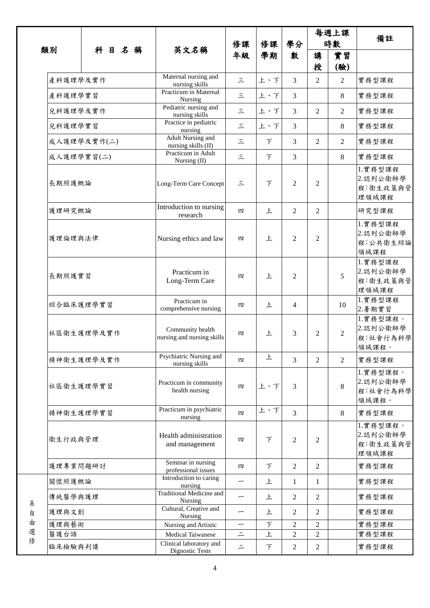|        |            |             |                                                 | 修課<br>年級                 | 修課            | 學分<br>數        |                | 每週上課                  |                                           |
|--------|------------|-------------|-------------------------------------------------|--------------------------|---------------|----------------|----------------|-----------------------|-------------------------------------------|
|        | 類別         |             |                                                 |                          |               |                | 時數             |                       | 備註                                        |
|        |            | 科目名稱        | 英文名稱                                            |                          | 學期            |                | 講              | 實習                    |                                           |
|        | 產科護理學及實作   |             | Maternal nursing and                            | $\leq$                   | 上、下           | 3              | 授<br>2         | (驗)<br>$\overline{2}$ | 實務型課程                                     |
|        |            |             | nursing skills<br>Practicum in Maternal         |                          |               |                |                |                       |                                           |
|        | 產科護理學實習    |             | Nursing                                         | $\leq$                   | 上、下           | 3              |                | 8                     | 實務型課程                                     |
|        | 兒科護理學及實作   |             | Pediatric nursing and<br>nursing skills         | 三                        | 上、下           | 3              | $\overline{2}$ | 2                     | 實務型課程                                     |
|        | 兒科護理學實習    |             | Practice in pediatric<br>nursing                | 三                        | 上、下           | 3              |                | 8                     | 實務型課程                                     |
|        |            | 成人護理學及實作(二) | <b>Adult Nursing and</b><br>nursing skills (II) | $\leq$                   | $\mathcal{F}$ | 3              | 2              | 2                     | 實務型課程                                     |
|        | 成人護理學實習(二) |             | Practicum in Adult<br>Nursing (II)              | $\leq$                   | $\top$        | 3              |                | 8                     | 實務型課程                                     |
|        | 長期照護概論     |             | Long-Term Care Concept                          | 三                        | $\top$        | $\mathfrak{D}$ | $\overline{2}$ |                       | 1.實務型課程<br>2.認列公衛師學<br>程:衛生政策與管<br>理領域課程  |
|        | 護理研究概論     |             | Introduction to nursing<br>research             | 四                        | 上             | $\overline{c}$ | 2              |                       | 研究型課程                                     |
|        | 護理倫理與法律    |             | Nursing ethics and law                          | 四                        | 上             | $\overline{c}$ | $\overline{2}$ |                       | 1.實務型課程<br>2.認列公衛師學<br>程:公共衛生綜論<br>領域課程   |
|        | 長期照護實習     |             | Practicum in<br>Long-Term Care                  | 四                        | 上             | 2              |                | 5                     | 1.實務型課程<br>2.認列公衛師學<br>程:衛生政策與管<br>理領域課程  |
|        | 綜合臨床護理學實習  |             | Practicum in<br>comprehensive nursing           | 四                        | 上             | 4              |                | 10                    | 1.實務型課程<br>2.暑期實習                         |
|        |            | 社區衛生護理學及實作  | Community health<br>nursing and nursing skills  | 四                        | 上             | 3              | $\overline{2}$ | $\overline{2}$        | 1.實務型課程。<br>2.認列公衛師學<br>程:社會行為科學<br>領域課程。 |
|        |            | 精神衛生護理學及實作  | Psychiatric Nursing and<br>nursing skills       | 四                        | 上             | 3              | $\overline{2}$ | $\overline{2}$        | 實務型課程                                     |
|        | 社區衛生護理學實習  |             | Practicum in community<br>health nursing        | 四                        | 上、下           | 3              |                | 8                     | 1.實務型課程。<br>2.認列公衛師學<br>程:社會行為科學<br>領域課程。 |
|        | 精神衛生護理學實習  |             | Practicum in psychiatric<br>nursing             | 四                        | 上、下           | 3              |                | 8                     | 實務型課程                                     |
|        | 衛生行政與管理    |             | Health administration<br>and management         | 四                        | $\top$        | $\overline{c}$ | 2              |                       | 1.實務型課程。<br>2.認列公衛師學<br>程:衛生政策與管<br>理領域課程 |
|        | 護理專業問題研討   |             | Seminar in nursing<br>professional issues       | 四                        | $\mathcal{F}$ | 2              | 2              |                       | 實務型課程                                     |
|        | 關懷照護概論     |             | Introduction to caring<br>nursing               | —                        | 上             | $\mathbf{1}$   | $\mathbf{1}$   |                       | 實務型課程                                     |
| 糸      | 傳統醫學與護理    |             | <b>Traditional Medicine and</b><br>Nursing      | —                        | 上             | $\overline{2}$ | 2              |                       | 實務型課程                                     |
| 自      | 護理與文創      |             | Cultural, Creative and<br>Nursing               | $\overline{\phantom{0}}$ | 上             | 2              | 2              |                       | 實務型課程                                     |
| 由      | 護理與藝術      |             | Nursing and Artistic                            |                          | $\top$        | $\overline{c}$ | $\overline{c}$ |                       | 實務型課程                                     |
| 選<br>俢 | 醫護台語       |             | <b>Medical Taiwanese</b>                        | $\equiv$                 | 上             | $\overline{2}$ | $\overline{c}$ |                       | 實務型課程                                     |
|        | 臨床檢驗與判讀    |             | Clinical laboratory and<br>Dignostic Tests      | $\equiv$                 | $\top$        | $\overline{2}$ | $\overline{c}$ |                       | 實務型課程                                     |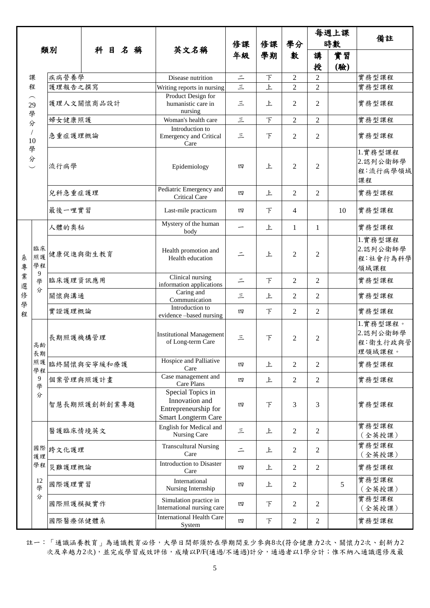|        |                                    |              |          |  |                                                                                    |                                                      |            |                | 每週上課           |                | 備註                                      |                                            |
|--------|------------------------------------|--------------|----------|--|------------------------------------------------------------------------------------|------------------------------------------------------|------------|----------------|----------------|----------------|-----------------------------------------|--------------------------------------------|
|        |                                    | 類別           | 科目名稱     |  | 英文名稱                                                                               | 修課                                                   | 修課         | 學分             | 時數             |                |                                         |                                            |
|        |                                    |              |          |  |                                                                                    |                                                      | 年級         | 學期             | 數              | 講              | 實習                                      |                                            |
|        |                                    |              |          |  |                                                                                    |                                                      |            |                | 授              | (驗)            |                                         |                                            |
| 課      |                                    | 疾病營養學        |          |  | Disease nutrition                                                                  | $=$                                                  | 下          | $\overline{c}$ | $\overline{2}$ |                | 實務型課程                                   |                                            |
|        | 程                                  | 護理報告之撰寫      |          |  |                                                                                    | Writing reports in nursing                           | $\vert$ il | 上              | $\overline{2}$ | $\overline{2}$ |                                         | 實務型課程                                      |
|        | $\widehat{\phantom{m}}$<br>29<br>學 | 護理人文關懷商品設計   |          |  | Product Design for<br>humanistic care in<br>nursing                                | 三                                                    | 上          | 2              | $\overline{2}$ |                | 實務型課程                                   |                                            |
|        | 分                                  | 婦女健康照護       |          |  | Woman's health care                                                                | 三                                                    | $\top$     | 2              | $\overline{2}$ |                | 實務型課程                                   |                                            |
|        | $\sqrt{2}$<br>10                   | 急重症護理概論      |          |  | Introduction to<br><b>Emergency and Critical</b><br>Care                           | 三                                                    | $\top$     | $\overline{2}$ | $\overline{2}$ |                | 實務型課程                                   |                                            |
|        | 學<br>分                             | 流行病學         |          |  | Epidemiology                                                                       | 四                                                    | 上          | $\overline{2}$ | $\overline{2}$ |                | 1.實務型課程<br>2.認列公衛師學<br>程:流行病學領域<br>課程   |                                            |
|        |                                    | 兒科急重症護理      |          |  | Pediatric Emergency and<br>Critical Care                                           | 四                                                    | 上          | 2              | $\overline{2}$ |                | 實務型課程                                   |                                            |
|        |                                    | 最後一哩實習       |          |  | Last-mile practicum                                                                | 四                                                    | F          | 4              |                | 10             | 實務型課程                                   |                                            |
|        |                                    | 人體的奧秘        |          |  | Mystery of the human<br>body                                                       |                                                      | 上          | 1              | 1              |                | 實務型課程                                   |                                            |
| 糸<br>專 | 臨床<br>照護<br>學程                     | 健康促進與衛生教育    |          |  | Health promotion and<br>Health education                                           | ⋍                                                    | 上          | $\overline{2}$ | $\overline{2}$ |                | 1.實務型課程<br>2.認列公衛師學<br>程:社會行為科學<br>領域課程 |                                            |
| 業<br>選 | 9<br>學                             | 臨床護理資訊應用     |          |  | Clinical nursing<br>information applications                                       | $\equiv$                                             | $\top$     | 2              | $\overline{2}$ |                | 實務型課程                                   |                                            |
| 俢<br>學 | 分                                  | 關懷與溝通        |          |  | Caring and<br>Communication                                                        | 三                                                    | 上          | 2              | 2              |                | 實務型課程                                   |                                            |
| 程      |                                    | 實證護理概論       |          |  | Introduction to<br>evidence -based nursing                                         | 四                                                    | $\top$     | 2              | $\overline{2}$ |                | 實務型課程                                   |                                            |
|        | 高齢<br>長期                           |              | 長期照護機構管理 |  |                                                                                    | <b>Institutional Management</b><br>of Long-term Care | 三          | 下              | 2              | $\mathfrak{2}$ |                                         | 1.實務型課程。<br>2.認列公衛師學<br>程:衛生行政與管<br>理領域課程。 |
|        | 照護<br>學程                           | 臨終關懷與安寧緩和療護  |          |  | Hospice and Palliative<br>Care                                                     | 四                                                    | 上          | $\overline{2}$ | $\overline{2}$ |                | 實務型課程                                   |                                            |
|        | 9<br>學                             | 個案管理與照護計畫    |          |  |                                                                                    | Case management and<br>Care Plans                    | 四          | 上              | $\overline{2}$ | $\overline{2}$ |                                         | 實務型課程                                      |
|        | 分                                  | 智慧長期照護創新創業專題 |          |  | Special Topics in<br>Innovation and<br>Entrepreneurship for<br>Smart Longterm Care | 四                                                    | F          | 3              | 3              |                | 實務型課程                                   |                                            |
|        |                                    |              | 醫護臨床情境英文 |  |                                                                                    | English for Medical and<br>Nursing Care              | 三          | 上              | 2              | $\mathfrak{2}$ |                                         | 實務型課程<br>(全英授課)                            |
|        | 國際<br>護理                           | 跨文化護理        |          |  | <b>Transcultural Nursing</b><br>Care                                               | $\equiv$                                             | 上          | 2              | $\overline{2}$ |                | 實務型課程<br>(全英授課)                         |                                            |
|        | 學程                                 | 災難護理概論       |          |  |                                                                                    | Introduction to Disaster<br>Care                     | 四          | 上              | $\overline{2}$ | $\overline{2}$ |                                         | 實務型課程                                      |
|        | 12<br>學                            | 國際護理實習       |          |  |                                                                                    | International<br>Nursing Internship                  | 四          | 上              | 2              |                | 5                                       | 實務型課程<br>(全英授課)                            |
|        | 分                                  | 國際照護模擬實作     |          |  |                                                                                    | Simulation practice in<br>International nursing care | 四          | F              | 2              | 2              |                                         | 實務型課程<br>(全英授課)                            |
|        |                                    | 國際醫療保健體系     |          |  |                                                                                    | <b>International Health Care</b><br>System           | 四          | F              | $\overline{c}$ | $\overline{2}$ |                                         | 實務型課程                                      |

註一:「通識涵養教育」為通識教育必修,大學日間部須於在學期間至少參與8次(符合健康力2次、關懷力2次、創新力2 次及卓越力2次),並完成學習成效評估,成績以P/F(通過/不通過)計分,通過者以1學分計;惟不納入通識選修及最